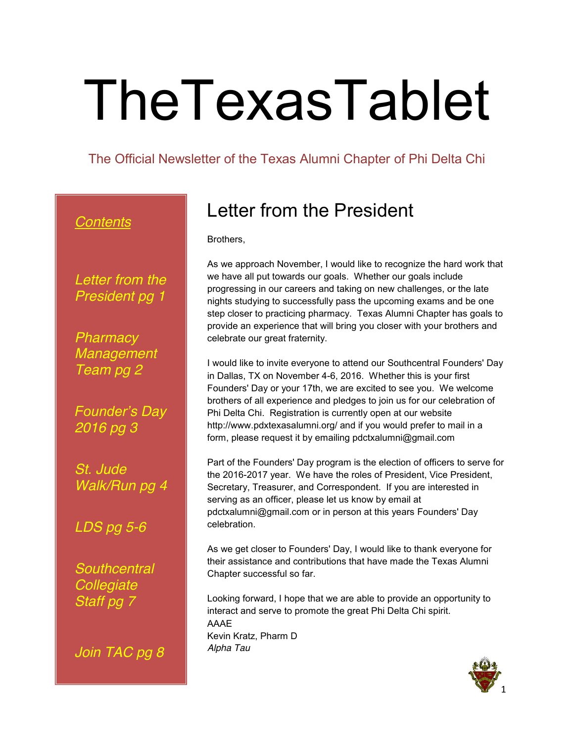# TheTexasTablet

The Official Newsletter of the Texas Alumni Chapter of Phi Delta Chi

### *Contents*

*Letter from the President pg 1*

*Pharmacy Management Team pg 2*

*Founder's Day 2016 pg 3*

*St. Jude Walk/Run pg 4*

#### *LDS pg 5-6*

*Southcentral Collegiate Staff pg 7*

*Join TAC pg 8*

## Letter from the President

Brothers,

As we approach November, I would like to recognize the hard work that we have all put towards our goals. Whether our goals include progressing in our careers and taking on new challenges, or the late nights studying to successfully pass the upcoming exams and be one step closer to practicing pharmacy. Texas Alumni Chapter has goals to provide an experience that will bring you closer with your brothers and celebrate our great fraternity.

I would like to invite everyone to attend our Southcentral Founders' Day in Dallas, TX on November 4-6, 2016. Whether this is your first Founders' Day or your 17th, we are excited to see you. We welcome brothers of all experience and pledges to join us for our celebration of Phi Delta Chi. Registration is currently open at our website http://www.pdxtexasalumni.org/ and if you would prefer to mail in a form, please request it by emailing pdctxalumni@gmail.com

Part of the Founders' Day program is the election of officers to serve for the 2016-2017 year. We have the roles of President, Vice President, Secretary, Treasurer, and Correspondent. If you are interested in serving as an officer, please let us know by email at pdctxalumni@gmail.com or in person at this years Founders' Day celebration.

As we get closer to Founders' Day, I would like to thank everyone for their assistance and contributions that have made the Texas Alumni Chapter successful so far.

Looking forward, I hope that we are able to provide an opportunity to interact and serve to promote the great Phi Delta Chi spirit. AAAE Kevin Kratz, Pharm D *Alpha Tau*

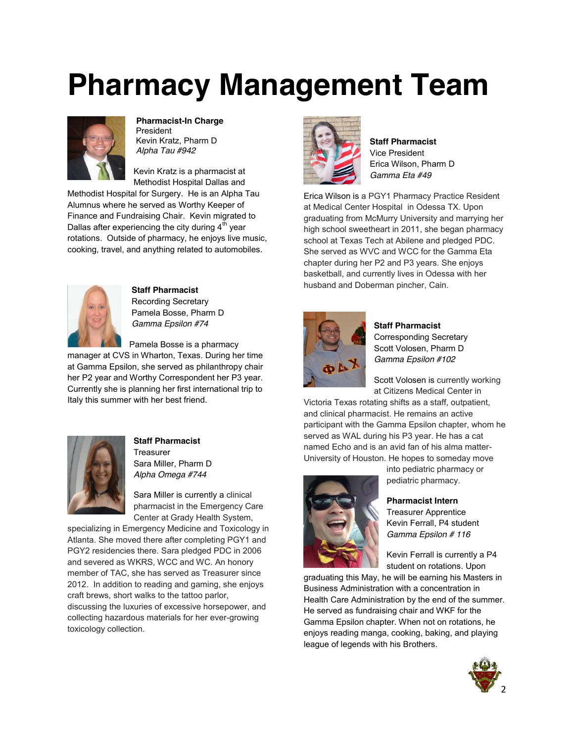# **Pharmacy Management Team**



**Pharmacist-In Charge** President Kevin Kratz, Pharm D *Alpha Tau #942*

Kevin Kratz is a pharmacist at Methodist Hospital Dallas and

Methodist Hospital for Surgery. He is an Alpha Tau Alumnus where he served as Worthy Keeper of Finance and Fundraising Chair. Kevin migrated to Dallas after experiencing the city during  $4<sup>th</sup>$  year rotations. Outside of pharmacy, he enjoys live music, cooking, travel, and anything related to automobiles.



**Staff Pharmacist** Recording Secretary Pamela Bosse, Pharm D *Gamma Epsilon #74*

Pamela Bosse is a pharmacy

manager at CVS in Wharton, Texas. During her time at Gamma Epsilon, she served as philanthropy chair her P2 year and Worthy Correspondent her P3 year. Currently she is planning her first international trip to Italy this summer with her best friend.



**Staff Pharmacist** Treasurer Sara Miller, Pharm D *Alpha Omega #744*

Sara Miller is currently a clinical pharmacist in the Emergency Care Center at Grady Health System,

specializing in Emergency Medicine and Toxicology in Atlanta. She moved there after completing PGY1 and PGY2 residencies there. Sara pledged PDC in 2006 and severed as WKRS, WCC and WC. An honory member of TAC, she has served as Treasurer since 2012. In addition to reading and gaming, she enjoys craft brews, short walks to the tattoo parlor, discussing the luxuries of excessive horsepower, and collecting hazardous materials for her ever-growing toxicology collection.



**Staff Pharmacist** Vice President Erica Wilson, Pharm D *Gamma Eta #49*

Erica Wilson is a PGY1 Pharmacy Practice Resident at Medical Center Hospital in Odessa TX. Upon graduating from McMurry University and marrying her high school sweetheart in 2011, she began pharmacy school at Texas Tech at Abilene and pledged PDC. She served as WVC and WCC for the Gamma Eta chapter during her P2 and P3 years. She enjoys basketball, and currently lives in Odessa with her husband and Doberman pincher, Cain.



**Staff Pharmacist** Corresponding Secretary Scott Volosen, Pharm D *Gamma Epsilon #102*

Scott Volosen is currently working at Citizens Medical Center in

Victoria Texas rotating shifts as a staff, outpatient, and clinical pharmacist. He remains an active participant with the Gamma Epsilon chapter, whom he served as WAL during his P3 year. He has a cat named Echo and is an avid fan of his alma matter-University of Houston. He hopes to someday move



into pediatric pharmacy or pediatric pharmacy.

**Pharmacist Intern**

Treasurer Apprentice Kevin Ferrall, P4 student *Gamma Epsilon # 116*

Kevin Ferrall is currently a P4 student on rotations. Upon

graduating this May, he will be earning his Masters in Business Administration with a concentration in Health Care Administration by the end of the summer. He served as fundraising chair and WKF for the Gamma Epsilon chapter. When not on rotations, he enjoys reading manga, cooking, baking, and playing league of legends with his Brothers.

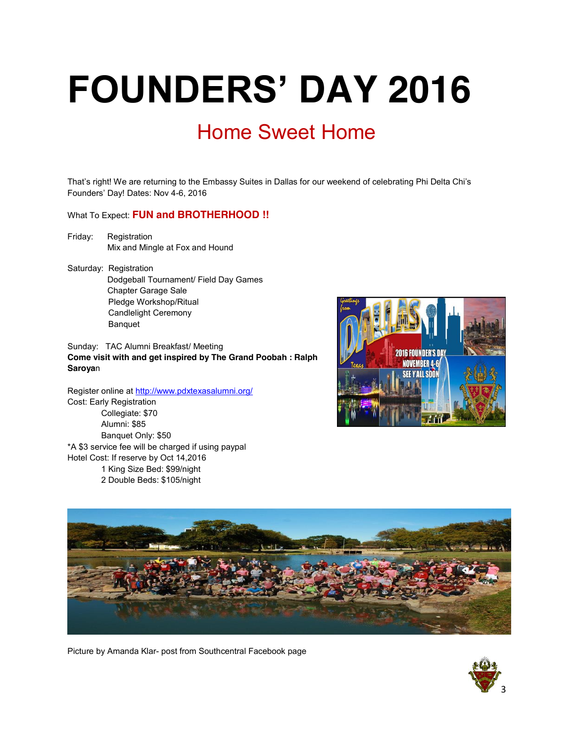# **FOUNDERS' DAY 2016** Home Sweet Home

That's right! We are returning to the Embassy Suites in Dallas for our weekend of celebrating Phi Delta Chi's Founders' Day! Dates: Nov 4-6, 2016

What To Expect: **FUN and BROTHERHOOD !!** 

- Friday: Registration Mix and Mingle at Fox and Hound
- Saturday: Registration Dodgeball Tournament/ Field Day Games Chapter Garage Sale Pledge Workshop/Ritual Candlelight Ceremony Banquet

Sunday: TAC Alumni Breakfast/ Meeting **Come visit with and get inspired by The Grand Poobah : Ralph Saroya**n

Register online at http://www.pdxtexasalumni.org/ Cost: Early Registration Collegiate: \$70 Alumni: \$85 Banquet Only: \$50 \*A \$3 service fee will be charged if using paypal Hotel Cost: If reserve by Oct 14,2016 1 King Size Bed: \$99/night 2 Double Beds: \$105/night





Picture by Amanda Klar- post from Southcentral Facebook page

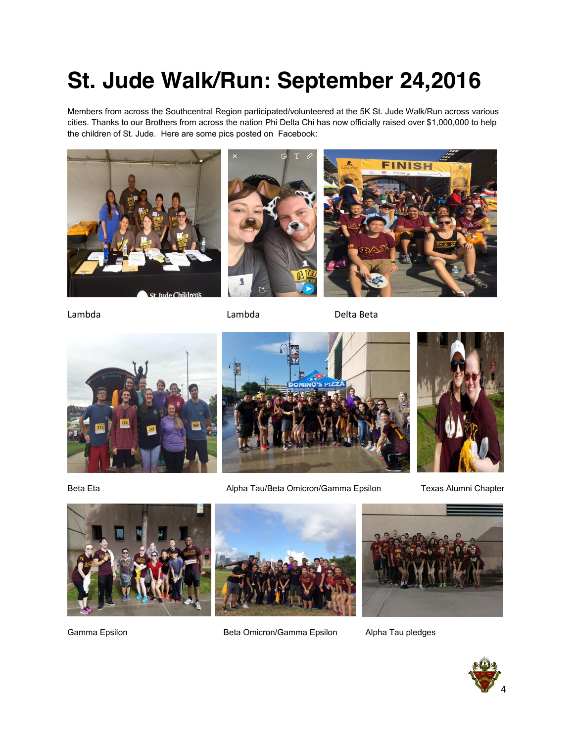## **St. Jude Walk/Run: September 24,2016**

Members from across the Southcentral Region participated/volunteered at the 5K St. Jude Walk/Run across various cities. Thanks to our Brothers from across the nation Phi Delta Chi has now officially raised over \$1,000,000 to help the children of St. Jude. Here are some pics posted on Facebook:



Lambda Lambda Delta Beta





















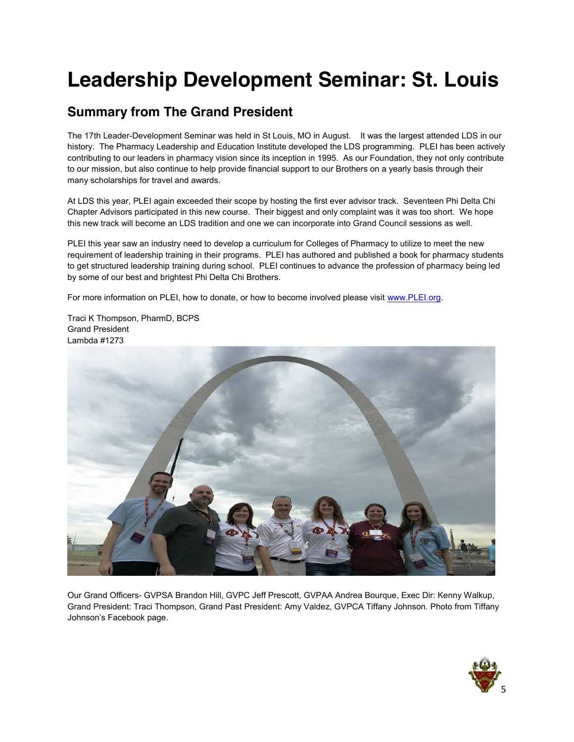## **Leadership Development Seminar: St. Louis**

### **Summary from The Grand President**

The 17th Leader-Development Seminar was held in St Louis, MO in August. It was the largest attended LDS in our history. The Pharmacy Leadership and Education Institute developed the LDS programming. PLEI has been actively contributing to our leaders in pharmacy vision since its inception in 1995. As our Foundation, they not only contribute to our mission, but also continue to help provide financial support to our Brothers on a yearly basis through their many scholarships for travel and awards.

At LDS this year, PLEI again exceeded their scope by hosting the first ever advisor track. Seventeen Phi Delta Chi Chapter Advisors participated in this new course. Their biggest and only complaint was it was too short. We hope this new track will become an LDS tradition and one we can incorporate into Grand Council sessions as well.

PLEI this year saw an industry need to develop a curriculum for Colleges of Pharmacy to utilize to meet the new requirement of leadership training in their programs. PLEI has authored and published a book for pharmacy students to get structured leadership training during school. PLEI continues to advance the profession of pharmacy being led by some of our best and brightest Phi Delta Chi Brothers.

For more information on PLEI, how to donate, or how to become involved please visit www.PLEI.org.

Traci K Thompson, PharmD, BCPS Grand President Lambda #1273



Our Grand Officers- GVPSA Brandon Hill, GVPC Jeff Prescott, GVPAA Andrea Bourque, Exec Dir: Kenny Walkup, Grand President: Traci Thompson, Grand Past President: Amy Valdez, GVPCA Tiffany Johnson. Photo from Tiffany Johnson's Facebook page.

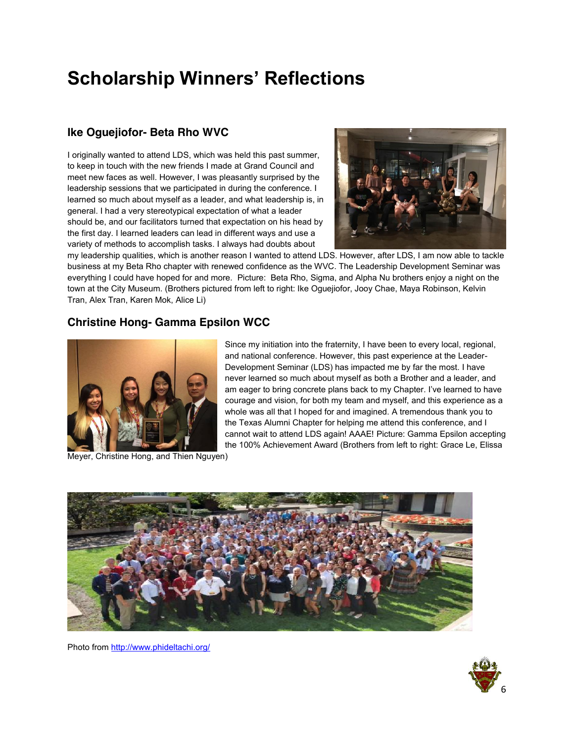## **Scholarship Winners' Reflections**

#### **Ike Oguejiofor- Beta Rho WVC**

I originally wanted to attend LDS, which was held this past summer, to keep in touch with the new friends I made at Grand Council and meet new faces as well. However, I was pleasantly surprised by the leadership sessions that we participated in during the conference. I learned so much about myself as a leader, and what leadership is, in general. I had a very stereotypical expectation of what a leader should be, and our facilitators turned that expectation on his head by the first day. I learned leaders can lead in different ways and use a variety of methods to accomplish tasks. I always had doubts about



my leadership qualities, which is another reason I wanted to attend LDS. However, after LDS, I am now able to tackle business at my Beta Rho chapter with renewed confidence as the WVC. The Leadership Development Seminar was everything I could have hoped for and more. Picture: Beta Rho, Sigma, and Alpha Nu brothers enjoy a night on the town at the City Museum. (Brothers pictured from left to right: Ike Oguejiofor, Jooy Chae, Maya Robinson, Kelvin Tran, Alex Tran, Karen Mok, Alice Li)

#### **Christine Hong- Gamma Epsilon WCC**



Since my initiation into the fraternity, I have been to every local, regional, and national conference. However, this past experience at the Leader-Development Seminar (LDS) has impacted me by far the most. I have never learned so much about myself as both a Brother and a leader, and am eager to bring concrete plans back to my Chapter. I've learned to have courage and vision, for both my team and myself, and this experience as a whole was all that I hoped for and imagined. A tremendous thank you to the Texas Alumni Chapter for helping me attend this conference, and I cannot wait to attend LDS again! AAAE! Picture: Gamma Epsilon accepting the 100% Achievement Award (Brothers from left to right: Grace Le, Elissa

Meyer, Christine Hong, and Thien Nguyen)





Photo from http://www.phideltachi.org/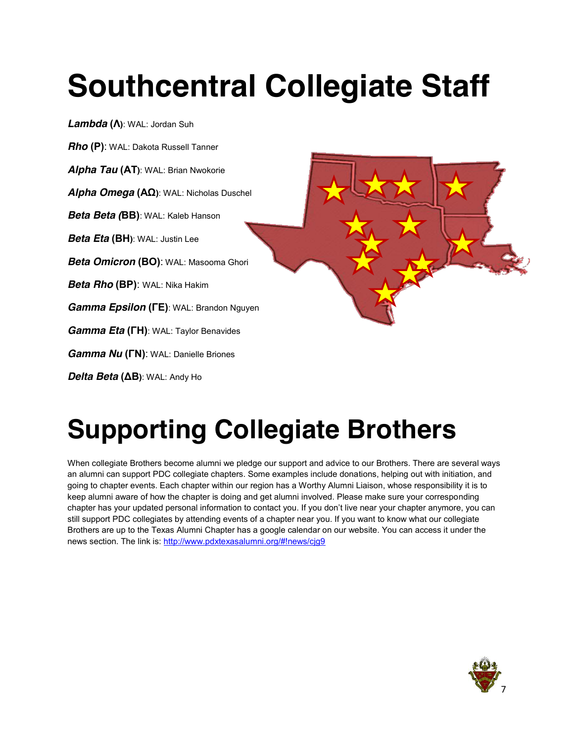# **Southcentral Collegiate Staff**



## **Supporting Collegiate Brothers**

When collegiate Brothers become alumni we pledge our support and advice to our Brothers. There are several ways an alumni can support PDC collegiate chapters. Some examples include donations, helping out with initiation, and going to chapter events. Each chapter within our region has a Worthy Alumni Liaison, whose responsibility it is to keep alumni aware of how the chapter is doing and get alumni involved. Please make sure your corresponding chapter has your updated personal information to contact you. If you don't live near your chapter anymore, you can still support PDC collegiates by attending events of a chapter near you. If you want to know what our collegiate Brothers are up to the Texas Alumni Chapter has a google calendar on our website. You can access it under the news section. The link is: http://www.pdxtexasalumni.org/#!news/cjg9